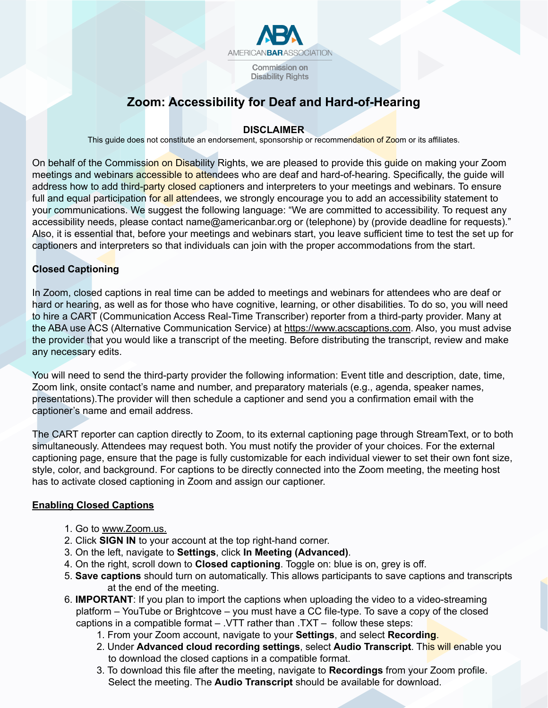

**Disability Rights** 

# **Zoom: Accessibility for Deaf and Hard-of-Hearing**

# **DISCLAIMER**

This guide does not constitute an endorsement, sponsorship or recommendation of Zoom or its affiliates.

On behalf of the Commission on Disability Rights, we are pleased to provide this quide on making your Zoom meetings and webinars accessible to attendees who are deaf and hard-of-hearing. Specifically, the quide will address how to add third-party closed captioners and interpreters to your meetings and webinars. To ensure full and equal participation for all attendees, we strongly encourage you to add an accessibility statement to your communications. We suggest the following language: "We are committed to accessibility. To request any accessibility needs, please contact name@americanbar.org or (telephone) by (provide deadline for requests)." Also, it is essential that, before your meetings and webinars start, you leave sufficient time to test the set up for captioners and interpreters so that individuals can join with the proper accommodations from the start.

# **Closed Captioning**

In Zoom, closed captions in real time can be added to meetings and webinars for attendees who are deaf or hard or hearing, as well as for those who have cognitive, learning, or other disabilities. To do so, you will need to hire a CART (Communication Access Real-Time Transcriber) reporter from a third-party provider. Many at the ABA use ACS (Alternative Communication Service) at https://www.acscaptions.com. Also, you must advise the provider that you would like a transcript of the meeting. Before distributing the transcript, review and make any necessary edits.

You will need to send the third-party provider the following information: Event title and description, date, time, Zoom link, onsite contact's name and number, and preparatory materials (e.g., agenda, speaker names, presentations).The provider will then schedule a captioner and send you a confirmation email with the captioner's name and email address.

The CART reporter can caption directly to Zoom, to its external captioning page through StreamText, or to both simultaneously. Attendees may request both. You must notify the provider of your choices. For the external captioning page, ensure that the page is fully customizable for each individual viewer to set their own font size, style, color, and background. For captions to be directly connected into the Zoom meeting, the meeting host has to activate closed captioning in Zoom and assign our captioner.

# **Enabling Closed Captions**

- 1. Go to www.Zoom.us.
- 2. Click **SIGN IN** to your account at the top right-hand corner.
- 3. On the left, navigate to **Settings**, click **In Meeting (Advanced)**.
- 4. On the right, scroll down to **Closed captioning**. Toggle on: blue is on, grey is off.
- 5. **Save captions** should turn on automatically. This allows participants to save captions and transcripts at the end of the meeting.
- 6. **IMPORTANT**: If you plan to import the captions when uploading the video to a video-streaming platform – YouTube or Brightcove – you must have a CC file-type. To save a copy of the closed captions in a compatible format – .VTT rather than .TXT – follow these steps:
	- 1. From your Zoom account, navigate to your **Settings**, and select **Recording**.
	- 2. Under **Advanced cloud recording settings**, select **Audio Transcript**. This will enable you to download the closed captions in a compatible format.
	- 3. To download this file after the meeting, navigate to **Recordings** from your Zoom profile. Select the meeting. The **Audio Transcript** should be available for download.